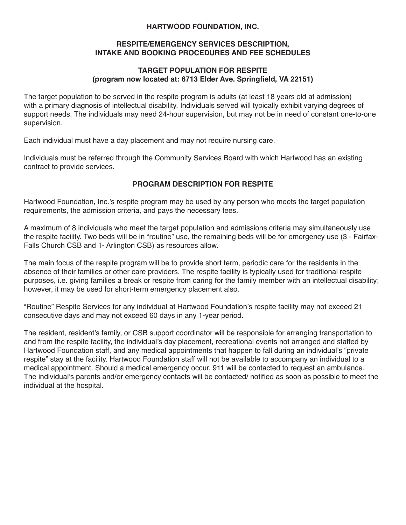#### **HARTWOOD FOUNDATION, INC.**

#### **RESPITE/EMERGENCY SERVICES DESCRIPTION, INTAKE AND BOOKING PROCEDURES AND FEE SCHEDULES**

## **TARGET POPULATION FOR RESPITE (program now located at: 6713 Elder Ave. Springfield, VA 22151)**

The target population to be served in the respite program is adults (at least 18 years old at admission) with a primary diagnosis of intellectual disability. Individuals served will typically exhibit varying degrees of support needs. The individuals may need 24-hour supervision, but may not be in need of constant one-to-one supervision.

Each individual must have a day placement and may not require nursing care.

Individuals must be referred through the Community Services Board with which Hartwood has an existing contract to provide services.

## **PROGRAM DESCRIPTION FOR RESPITE**

Hartwood Foundation, Inc.'s respite program may be used by any person who meets the target population requirements, the admission criteria, and pays the necessary fees.

A maximum of 8 individuals who meet the target population and admissions criteria may simultaneously use the respite facility. Two beds will be in "routine" use, the remaining beds will be for emergency use (3 - Fairfax-Falls Church CSB and 1- Arlington CSB) as resources allow.

The main focus of the respite program will be to provide short term, periodic care for the residents in the absence of their families or other care providers. The respite facility is typically used for traditional respite purposes, i.e. giving families a break or respite from caring for the family member with an intellectual disability; however, it may be used for short-term emergency placement also.

"Routine" Respite Services for any individual at Hartwood Foundation's respite facility may not exceed 21 consecutive days and may not exceed 60 days in any 1-year period.

The resident, resident's family, or CSB support coordinator will be responsible for arranging transportation to and from the respite facility, the individual's day placement, recreational events not arranged and staffed by Hartwood Foundation staff, and any medical appointments that happen to fall during an individual's "private respite" stay at the facility. Hartwood Foundation staff will not be available to accompany an individual to a medical appointment. Should a medical emergency occur, 911 will be contacted to request an ambulance. The individual's parents and/or emergency contacts will be contacted/ notified as soon as possible to meet the individual at the hospital.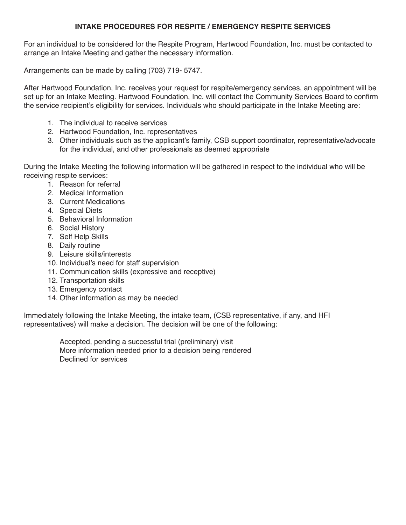## **INTAKE PROCEDURES FOR RESPITE / EMERGENCY RESPITE SERVICES**

For an individual to be considered for the Respite Program, Hartwood Foundation, Inc. must be contacted to arrange an Intake Meeting and gather the necessary information.

Arrangements can be made by calling (703) 719- 5747.

After Hartwood Foundation, Inc. receives your request for respite/emergency services, an appointment will be set up for an Intake Meeting. Hartwood Foundation, Inc. will contact the Community Services Board to confirm the service recipient's eligibility for services. Individuals who should participate in the Intake Meeting are:

- 1. The individual to receive services
- 2. Hartwood Foundation, Inc. representatives
- 3. Other individuals such as the applicant's family, CSB support coordinator, representative/advocate for the individual, and other professionals as deemed appropriate

During the Intake Meeting the following information will be gathered in respect to the individual who will be receiving respite services:

- 1. Reason for referral
- 2. Medical Information
- 3. Current Medications
- 4. Special Diets
- 5. Behavioral Information
- 6. Social History
- 7. Self Help Skills
- 8. Daily routine
- 9. Leisure skills/interests
- 10. Individual's need for staff supervision
- 11. Communication skills (expressive and receptive)
- 12. Transportation skills
- 13. Emergency contact
- 14. Other information as may be needed

Immediately following the Intake Meeting, the intake team, (CSB representative, if any, and HFI representatives) will make a decision. The decision will be one of the following:

> Accepted, pending a successful trial (preliminary) visit More information needed prior to a decision being rendered Declined for services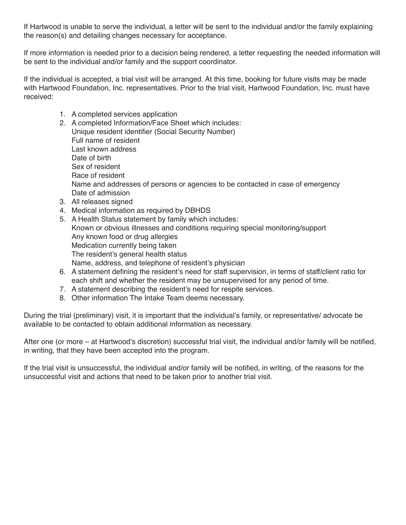If Hartwood is unable to serve the individual, a letter will be sent to the individual and/or the family explaining the reason(s) and detailing changes necessary for acceptance.

If more information is needed prior to a decision being rendered, a letter requesting the needed information will be sent to the individual and/or family and the support coordinator.

If the individual is accepted, a trial visit will be arranged. At this time, booking for future visits may be made with Hartwood Foundation, Inc. representatives. Prior to the trial visit, Hartwood Foundation, Inc. must have received:

- 1. A completed services application
- 2. A completed Information/Face Sheet which includes: Unique resident identifier (Social Security Number) Full name of resident Last known address Date of birth Sex of resident Race of resident Name and addresses of persons or agencies to be contacted in case of emergency Date of admission
- 3. All releases signed
- 4. Medical information as required by DBHDS
- 5. A Health Status statement by family which includes: Known or obvious illnesses and conditions requiring special monitoring/support Any known food or drug allergies Medication currently being taken The resident's general health status Name, address, and telephone of resident's physician
- 6. A statement defining the resident's need for staff supervision, in terms of staff/client ratio for each shift and whether the resident may be unsupervised for any period of time.
- 7. A statement describing the resident's need for respite services.
- 8. Other information The Intake Team deems necessary.

During the trial (preliminary) visit, it is important that the individual's family, or representative/ advocate be available to be contacted to obtain additional information as necessary.

After one (or more – at Hartwood's discretion) successful trial visit, the individual and/or family will be notified, in writing, that they have been accepted into the program.

If the trial visit is unsuccessful, the individual and/or family will be notified, in writing, of the reasons for the unsuccessful visit and actions that need to be taken prior to another trial visit.